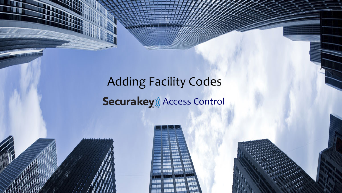## Adding Facility Codes

#### Securakey)) Access Control



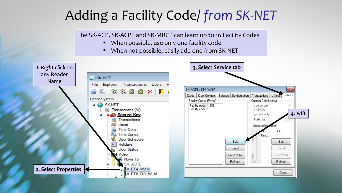## Adding a Facility Code/ *from SK-NET*

The SK-ACP, SK-ACPE and SK-MRCP can learn up to 16 Facility Codes

- When possible, use only one facility code
- When not possible, easily add one from SK-NET

*4. Edit*

 $\mathbf{z}$ 

Service

 $\sqrt{}$ 

FAC:

Edit

Send

Refresh

Close

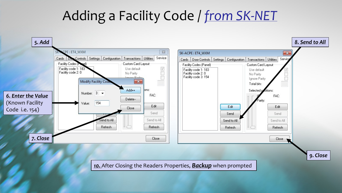## Adding a Facility Code / *from SK-NET*

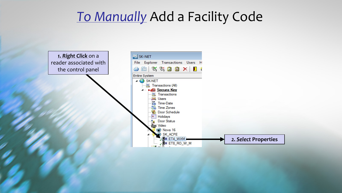#### *To Manually* Add a Facility Code

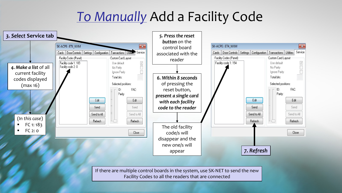## *To Manually* Add a Facility Code



If there are multiple control boards in the system, use SK-NET to send the new Facility Codes to all the readers that are connected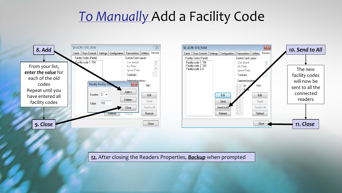#### *To Manually* Add a Facility Code





*12.* After closing the Readers Properties, *Backup* when prompted